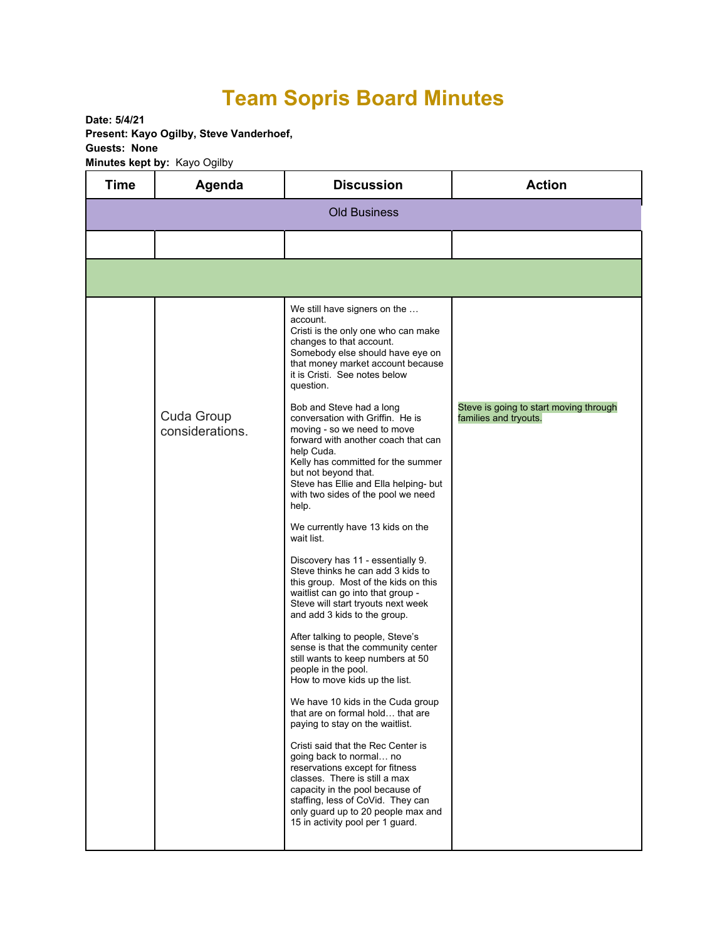## **Team Sopris Board Minutes**

**Date: 5/4/21 Present: Kayo Ogilby, Steve Vanderhoef, Guests: None Minutes kept by:** Kayo Ogilby

| <b>Time</b>         | Agenda                        | <b>Discussion</b>                                                                                                                                                                                                                                                                                                                                                                                                                                                                            | <b>Action</b>                                                   |  |  |
|---------------------|-------------------------------|----------------------------------------------------------------------------------------------------------------------------------------------------------------------------------------------------------------------------------------------------------------------------------------------------------------------------------------------------------------------------------------------------------------------------------------------------------------------------------------------|-----------------------------------------------------------------|--|--|
| <b>Old Business</b> |                               |                                                                                                                                                                                                                                                                                                                                                                                                                                                                                              |                                                                 |  |  |
|                     |                               |                                                                                                                                                                                                                                                                                                                                                                                                                                                                                              |                                                                 |  |  |
|                     |                               |                                                                                                                                                                                                                                                                                                                                                                                                                                                                                              |                                                                 |  |  |
|                     |                               | We still have signers on the<br>account.<br>Cristi is the only one who can make<br>changes to that account.<br>Somebody else should have eye on<br>that money market account because<br>it is Cristi. See notes below<br>question.                                                                                                                                                                                                                                                           |                                                                 |  |  |
|                     | Cuda Group<br>considerations. | Bob and Steve had a long<br>conversation with Griffin. He is<br>moving - so we need to move<br>forward with another coach that can<br>help Cuda.<br>Kelly has committed for the summer<br>but not beyond that.<br>Steve has Ellie and Ella helping- but<br>with two sides of the pool we need<br>help.                                                                                                                                                                                       | Steve is going to start moving through<br>families and tryouts. |  |  |
|                     |                               | We currently have 13 kids on the<br>wait list.<br>Discovery has 11 - essentially 9.<br>Steve thinks he can add 3 kids to<br>this group. Most of the kids on this<br>waitlist can go into that group -<br>Steve will start tryouts next week<br>and add 3 kids to the group.<br>After talking to people, Steve's<br>sense is that the community center                                                                                                                                        |                                                                 |  |  |
|                     |                               | still wants to keep numbers at 50<br>people in the pool.<br>How to move kids up the list.<br>We have 10 kids in the Cuda group<br>that are on formal hold that are<br>paying to stay on the waitlist.<br>Cristi said that the Rec Center is<br>going back to normal no<br>reservations except for fitness<br>classes. There is still a max<br>capacity in the pool because of<br>staffing, less of CoVid. They can<br>only guard up to 20 people max and<br>15 in activity pool per 1 guard. |                                                                 |  |  |